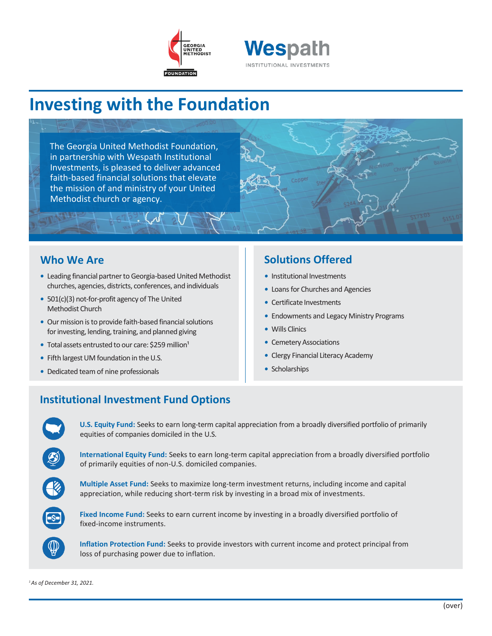



# **Investing with the Foundation**

The Georgia United Methodist Foundation, in partnership with Wespath Institutional Investments, is pleased to deliver advanced faith-based financial solutions that elevate the mission of and ministry of your United Methodist church or agency.

### **Who We Are**

- Leading financial partner to Georgia-based United Methodist churches, agencies, districts, conferences, and individuals
- *•* 501(c)(3) not-for-profit agency of The United Methodist Church
- Our mission is to provide faith-based financial solutions for investing, lending, training, and planned giving
- Total assets entrusted to our care: \$259 million<sup>1</sup>
- Fifth largest UM foundation in the U.S.
- *•* Dedicated team of nine professionals

### **Solutions Offered**

- *•* Institutional Investments
- *•* Loans for Churches and Agencies
- *•* Certificate Investments
- *•* Endowments and Legacy Ministry Programs
- *•* Wills Clinics
- Cemetery Associations
- *•* Clergy Financial Literacy Academy
- *•* Scholarships

## **Institutional Investment Fund Options**

**U.S. Equity Fund:** Seeks to earn long-term capital appreciation from a broadly diversified portfolio of primarily equities of companies domiciled in the U.S.

**International Equity Fund:** Seeks to earn long-term capital appreciation from a broadly diversified portfolio of primarily equities of non-U.S. domiciled companies.

**Multiple Asset Fund:** Seeks to maximize long-term investment returns, including income and capital appreciation, while reducing short-term risk by investing in a broad mix of investments.



**Fixed Income Fund:** Seeks to earn current income by investing in a broadly diversified portfolio of fixed-income instruments.

**Inflation Protection Fund:** Seeks to provide investors with current income and protect principal from loss of purchasing power due to inflation.

*<sup>1</sup>As of December 31, 2021.*